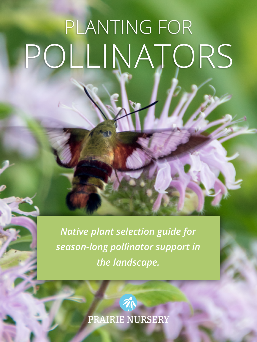## PLANTING FOR POLLINATORS

*Native plant selection guide for season-long pollinator support in*  the landscape.

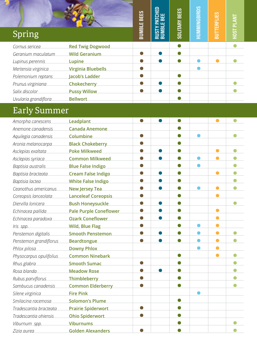| Spring               |                           | <b>BUMBLE BEES</b> | ≏<br>ш<br>ന<br>உய<br><b>HISTY</b><br>BUMBL | SOLITARY BEES | HUMMINGBIRDS | <b>BUTTERFLIES</b> | HOST PLANT |
|----------------------|---------------------------|--------------------|--------------------------------------------|---------------|--------------|--------------------|------------|
| Cornus sericea       | <b>Red Twig Dogwood</b>   |                    |                                            |               |              |                    |            |
| Geranium maculatum   | <b>Wild Geranium</b>      |                    |                                            |               |              |                    |            |
| Lupinus perennis     | Lupine                    |                    |                                            |               |              |                    |            |
| Mertensia virginica  | <b>Virginia Bluebells</b> |                    |                                            |               |              |                    |            |
| Polemonium reptans   | Jacob's Ladder            |                    |                                            |               |              |                    |            |
| Prunus virginiana    | Chokecherry               |                    |                                            |               |              |                    |            |
| Salix discolor       | <b>Pussy Willow</b>       |                    |                                            |               |              |                    |            |
| Uvularia grandiflora | <b>Bellwort</b>           |                    |                                            |               |              |                    |            |

## Early Summer

| Amorpha canescens       | <b>Leadplant</b>              |  |  |  |
|-------------------------|-------------------------------|--|--|--|
| Anemone canadensis      | <b>Canada Anemone</b>         |  |  |  |
| Aquilegia canadensis    | Columbine                     |  |  |  |
| Aronia melanocarpa      | <b>Black Chokeberry</b>       |  |  |  |
| Asclepias exaltata      | <b>Poke Milkweed</b>          |  |  |  |
| Asclepias syriaca       | <b>Common Milkweed</b>        |  |  |  |
| Baptisia australis      | <b>Blue False Indigo</b>      |  |  |  |
| Baptisia bracteata      | <b>Cream False Indigo</b>     |  |  |  |
| Baptisia lactea         | <b>White False Indigo</b>     |  |  |  |
| Ceanothus americanus    | <b>New Jersey Tea</b>         |  |  |  |
| Coreopsis lanceolata    | <b>Lanceleaf Coreopsis</b>    |  |  |  |
| Diervilla lonicera      | <b>Bush Honeysuckle</b>       |  |  |  |
| Echinacea pallida       | <b>Pale Purple Coneflower</b> |  |  |  |
| Echinacea paradoxa      | <b>Ozark Coneflower</b>       |  |  |  |
| Iris spp.               | <b>Wild, Blue Flag</b>        |  |  |  |
| Penstemon digitalis     | <b>Smooth Penstemon</b>       |  |  |  |
| Penstemon grandiflorus  | <b>Beardtongue</b>            |  |  |  |
| Phlox pilosa            | <b>Downy Phlox</b>            |  |  |  |
| Physocarpus opulifolius | <b>Common Ninebark</b>        |  |  |  |
| Rhus glabra             | <b>Smooth Sumac</b>           |  |  |  |
| Rosa blanda             | <b>Meadow Rose</b>            |  |  |  |
| Rubus parviflorus       | <b>Thimbleberry</b>           |  |  |  |
| Sambucus canadensis     | <b>Common Elderberry</b>      |  |  |  |
| Silene virginica        | <b>Fire Pink</b>              |  |  |  |
| Smilacina racemosa      | <b>Solomon's Plume</b>        |  |  |  |
| Tradescantia bracteata  | <b>Prairie Spiderwort</b>     |  |  |  |
| Tradescantia ohiensis   | <b>Ohio Spiderwort</b>        |  |  |  |
| Viburnum spp.           | <b>Viburnums</b>              |  |  |  |
| Zizia aurea             | <b>Golden Alexanders</b>      |  |  |  |
|                         |                               |  |  |  |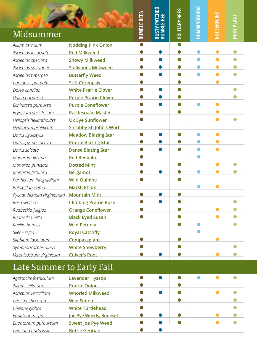| Midsummer                              |                                | EES<br><b>BUMBLE BI</b> | 品<br>띮<br>Ĕ<br>$\overline{\mathbf{m}}$<br>ш<br><b>BUIMBL</b><br><b>SINB</b> | <b>SOLITARY BEES</b> | MMINGBIRDS | <b>TERFLI</b> | <b>HOST PLI</b> |
|----------------------------------------|--------------------------------|-------------------------|-----------------------------------------------------------------------------|----------------------|------------|---------------|-----------------|
| Allium cernuum                         | <b>Nodding Pink Onion</b>      | $\bullet$               |                                                                             |                      |            |               |                 |
| Asclepias incarnata                    | <b>Red Milkweed</b>            |                         |                                                                             |                      |            |               |                 |
| Asclepias speciosa                     | <b>Showy Milkweed</b>          |                         |                                                                             |                      |            |               |                 |
| Asclepias sullivantii                  | <b>Sullivant's Milkweed</b>    |                         |                                                                             |                      |            |               |                 |
| Asclepias tuberosa                     | <b>Butterfly Weed</b>          |                         |                                                                             |                      |            |               |                 |
| Coreopsis palmata                      | <b>Stiff Coreopsis</b>         |                         |                                                                             |                      |            |               |                 |
| Dalea candida                          | <b>White Prairie Clover</b>    |                         |                                                                             |                      |            |               |                 |
| Dalea purpurea                         | <b>Purple Prairie Clover</b>   |                         |                                                                             |                      |            |               |                 |
| Echinacea purpurea                     | <b>Purple Coneflower</b>       |                         |                                                                             |                      |            |               |                 |
| Eryngium yuccifolium                   | <b>Rattlesnake Master</b>      |                         |                                                                             |                      |            |               |                 |
| Heliopsis helianthoides                | <b>Ox Eye Sunflower</b>        |                         |                                                                             |                      |            |               |                 |
| Hypericum prolificum                   | <b>Shrubby St. John's Wort</b> |                         |                                                                             |                      |            |               |                 |
| Liatris ligulistylis                   | <b>Meadow Blazing Star</b>     |                         |                                                                             |                      |            |               |                 |
| Liatris pycnostachya                   | <b>Prairie Blazing Star</b>    |                         |                                                                             |                      |            |               |                 |
| Liatris spicata                        | <b>Dense Blazing Star</b>      |                         |                                                                             |                      |            |               |                 |
| Monarda didyma                         | <b>Red Beebalm</b>             |                         |                                                                             |                      |            |               |                 |
| Monarda punctata                       | <b>Dotted Mint</b>             |                         |                                                                             |                      |            |               |                 |
| Monarda fistulosa                      | <b>Bergamot</b>                |                         |                                                                             |                      |            |               |                 |
| Parthenium integrifolium               | <b>Wild Quinine</b>            |                         |                                                                             |                      |            |               |                 |
| Phlox glaberrima                       | <b>Marsh Phlox</b>             |                         |                                                                             |                      |            |               |                 |
| Pycnanthemum virginianum Mountain Mint |                                |                         |                                                                             |                      |            |               |                 |
| Rosa setigera                          | <b>Climbing Prairie Rose</b>   |                         |                                                                             |                      |            |               |                 |
| Rudbeckia fulgida                      | <b>Orange Coneflower</b>       |                         |                                                                             |                      |            |               |                 |
| Rudbeckia hirta                        | <b>Black Eyed Susan</b>        |                         |                                                                             |                      |            |               |                 |
| Ruellia humilis                        | <b>Wild Petunia</b>            |                         |                                                                             |                      |            |               |                 |
| Silene regia                           | <b>Royal Catchfly</b>          |                         |                                                                             |                      |            |               |                 |
| Silphium laciniatum                    | Compassplant                   |                         |                                                                             |                      |            |               |                 |
| Symphoricarpos albus                   | <b>White Snowberry</b>         |                         |                                                                             |                      |            |               | Œ               |
| Veronicastrum virginicum               | <b>Culver's Root</b>           |                         |                                                                             |                      |            |               |                 |

## Late Summer to Early Fall

| Agastache foeniculum   | <b>Lavender Hyssop</b>    |  |  |  |
|------------------------|---------------------------|--|--|--|
| Allium stellatum       | <b>Prairie Onion</b>      |  |  |  |
| Asclepias verticillata | <b>Whorled Milkweed</b>   |  |  |  |
| Cassia hebecarpa       | <b>Wild Senna</b>         |  |  |  |
| Chelone glabra         | <b>White Turtlehead</b>   |  |  |  |
| Eupatorium spp.        | Joe Pye Weeds, Boneset    |  |  |  |
| Eupatorium purpureum   | <b>Sweet Joe Pye Weed</b> |  |  |  |
| Gentiana andrewsii     | <b>Bottle Gentian</b>     |  |  |  |
|                        |                           |  |  |  |